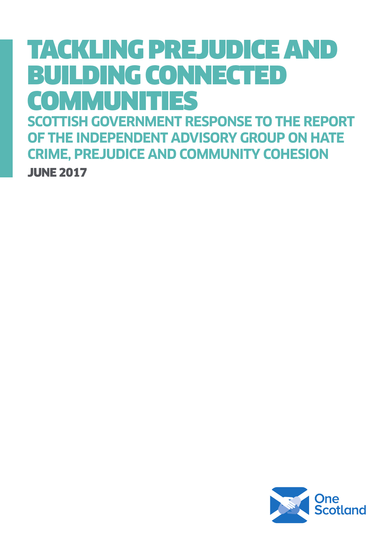# TACKLING PREJUDICE AND BUILDING CONNECTED COMMUNITIES

**SCOTTISH GOVERNMENT RESPONSE TO THE REPORT OF THE INDEPENDENT ADVISORY GROUP ON HATE CRIME, PREJUDICE AND COMMUNITY COHESION** JUNE 2017

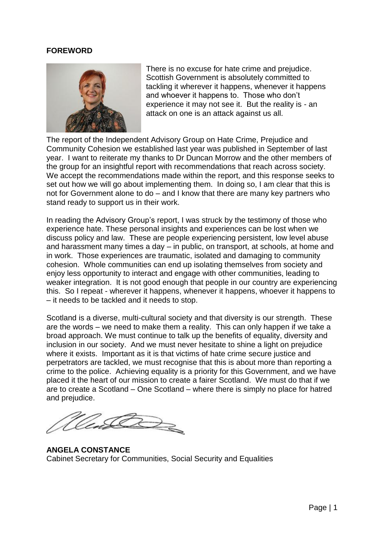#### **FOREWORD**



There is no excuse for hate crime and prejudice. Scottish Government is absolutely committed to tackling it wherever it happens, whenever it happens and whoever it happens to. Those who don't experience it may not see it. But the reality is - an attack on one is an attack against us all.

The report of the Independent Advisory Group on Hate Crime, Prejudice and Community Cohesion we established last year was published in September of last year. I want to reiterate my thanks to Dr Duncan Morrow and the other members of the group for an insightful report with recommendations that reach across society. We accept the recommendations made within the report, and this response seeks to set out how we will go about implementing them. In doing so, I am clear that this is not for Government alone to do – and I know that there are many key partners who stand ready to support us in their work.

In reading the Advisory Group's report, I was struck by the testimony of those who experience hate. These personal insights and experiences can be lost when we discuss policy and law. These are people experiencing persistent, low level abuse and harassment many times a day – in public, on transport, at schools, at home and in work. Those experiences are traumatic, isolated and damaging to community cohesion. Whole communities can end up isolating themselves from society and enjoy less opportunity to interact and engage with other communities, leading to weaker integration. It is not good enough that people in our country are experiencing this. So I repeat - wherever it happens, whenever it happens, whoever it happens to – it needs to be tackled and it needs to stop.

Scotland is a diverse, multi-cultural society and that diversity is our strength. These are the words – we need to make them a reality. This can only happen if we take a broad approach. We must continue to talk up the benefits of equality, diversity and inclusion in our society. And we must never hesitate to shine a light on prejudice where it exists. Important as it is that victims of hate crime secure justice and perpetrators are tackled, we must recognise that this is about more than reporting a crime to the police. Achieving equality is a priority for this Government, and we have placed it the heart of our mission to create a fairer Scotland. We must do that if we are to create a Scotland – One Scotland – where there is simply no place for hatred and prejudice.

 $\overline{2}$ 

**ANGELA CONSTANCE** Cabinet Secretary for Communities, Social Security and Equalities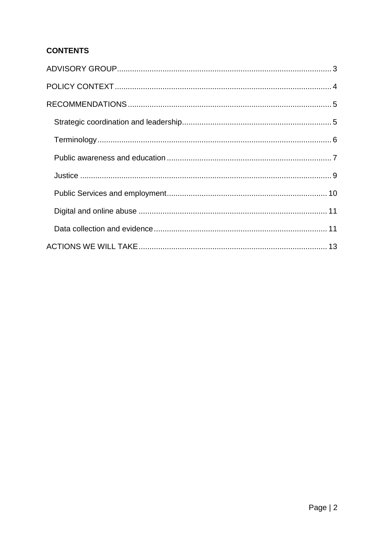# **CONTENTS**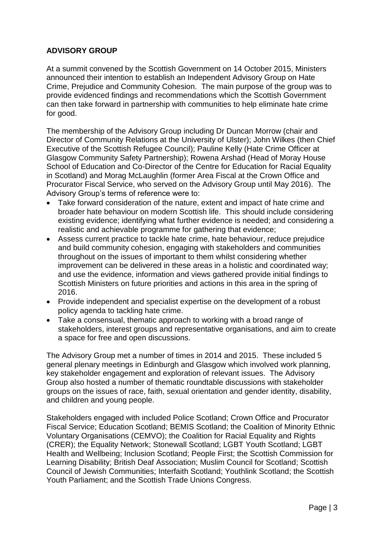### <span id="page-3-0"></span>**ADVISORY GROUP**

At a summit convened by the Scottish Government on 14 October 2015, Ministers announced their intention to establish an Independent Advisory Group on Hate Crime, Prejudice and Community Cohesion. The main purpose of the group was to provide evidenced findings and recommendations which the Scottish Government can then take forward in partnership with communities to help eliminate hate crime for good.

The membership of the Advisory Group including Dr Duncan Morrow (chair and Director of Community Relations at the University of Ulster); John Wilkes (then Chief Executive of the Scottish Refugee Council); Pauline Kelly (Hate Crime Officer at Glasgow Community Safety Partnership); Rowena Arshad (Head of Moray House School of Education and Co-Director of the Centre for Education for Racial Equality in Scotland) and Morag McLaughlin (former Area Fiscal at the Crown Office and Procurator Fiscal Service, who served on the Advisory Group until May 2016). The Advisory Group's terms of reference were to:

- Take forward consideration of the nature, extent and impact of hate crime and broader hate behaviour on modern Scottish life. This should include considering existing evidence; identifying what further evidence is needed; and considering a realistic and achievable programme for gathering that evidence;
- Assess current practice to tackle hate crime, hate behaviour, reduce prejudice and build community cohesion, engaging with stakeholders and communities throughout on the issues of important to them whilst considering whether improvement can be delivered in these areas in a holistic and coordinated way; and use the evidence, information and views gathered provide initial findings to Scottish Ministers on future priorities and actions in this area in the spring of 2016.
- Provide independent and specialist expertise on the development of a robust policy agenda to tackling hate crime.
- Take a consensual, thematic approach to working with a broad range of stakeholders, interest groups and representative organisations, and aim to create a space for free and open discussions.

The Advisory Group met a number of times in 2014 and 2015. These included 5 general plenary meetings in Edinburgh and Glasgow which involved work planning, key stakeholder engagement and exploration of relevant issues. The Advisory Group also hosted a number of thematic roundtable discussions with stakeholder groups on the issues of race, faith, sexual orientation and gender identity, disability, and children and young people.

Stakeholders engaged with included Police Scotland; Crown Office and Procurator Fiscal Service; Education Scotland; BEMIS Scotland; the Coalition of Minority Ethnic Voluntary Organisations (CEMVO); the Coalition for Racial Equality and Rights (CRER); the Equality Network; Stonewall Scotland; LGBT Youth Scotland; LGBT Health and Wellbeing; Inclusion Scotland; People First; the Scottish Commission for Learning Disability; British Deaf Association; Muslim Council for Scotland; Scottish Council of Jewish Communities; Interfaith Scotland; Youthlink Scotland; the Scottish Youth Parliament; and the Scottish Trade Unions Congress.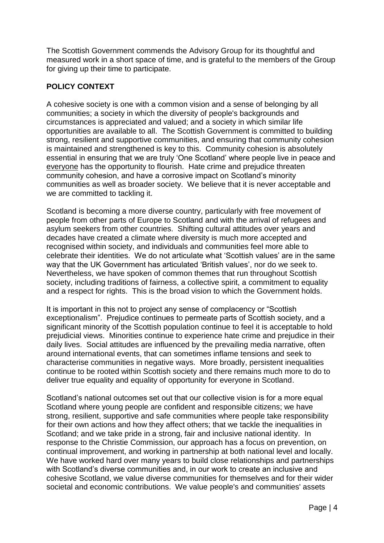The Scottish Government commends the Advisory Group for its thoughtful and measured work in a short space of time, and is grateful to the members of the Group for giving up their time to participate.

# <span id="page-4-0"></span>**POLICY CONTEXT**

A cohesive society is one with a common vision and a sense of belonging by all communities; a society in which the diversity of people's backgrounds and circumstances is appreciated and valued; and a society in which similar life opportunities are available to all. The Scottish Government is committed to building strong, resilient and supportive communities, and ensuring that community cohesion is maintained and strengthened is key to this. Community cohesion is absolutely essential in ensuring that we are truly 'One Scotland' where people live in peace and everyone has the opportunity to flourish. Hate crime and prejudice threaten community cohesion, and have a corrosive impact on Scotland's minority communities as well as broader society. We believe that it is never acceptable and we are committed to tackling it.

Scotland is becoming a more diverse country, particularly with free movement of people from other parts of Europe to Scotland and with the arrival of refugees and asylum seekers from other countries. Shifting cultural attitudes over years and decades have created a climate where diversity is much more accepted and recognised within society, and individuals and communities feel more able to celebrate their identities. We do not articulate what 'Scottish values' are in the same way that the UK Government has articulated 'British values', nor do we seek to. Nevertheless, we have spoken of common themes that run throughout Scottish society, including traditions of fairness, a collective spirit, a commitment to equality and a respect for rights. This is the broad vision to which the Government holds.

It is important in this not to project any sense of complacency or "Scottish exceptionalism". Prejudice continues to permeate parts of Scottish society, and a significant minority of the Scottish population continue to feel it is acceptable to hold prejudicial views. Minorities continue to experience hate crime and prejudice in their daily lives. Social attitudes are influenced by the prevailing media narrative, often around international events, that can sometimes inflame tensions and seek to characterise communities in negative ways. More broadly, persistent inequalities continue to be rooted within Scottish society and there remains much more to do to deliver true equality and equality of opportunity for everyone in Scotland.

Scotland's national outcomes set out that our collective vision is for a more equal Scotland where young people are confident and responsible citizens; we have strong, resilient, supportive and safe communities where people take responsibility for their own actions and how they affect others; that we tackle the inequalities in Scotland; and we take pride in a strong, fair and inclusive national identity. In response to the Christie Commission, our approach has a focus on prevention, on continual improvement, and working in partnership at both national level and locally. We have worked hard over many years to build close relationships and partnerships with Scotland's diverse communities and, in our work to create an inclusive and cohesive Scotland, we value diverse communities for themselves and for their wider societal and economic contributions. We value people's and communities' assets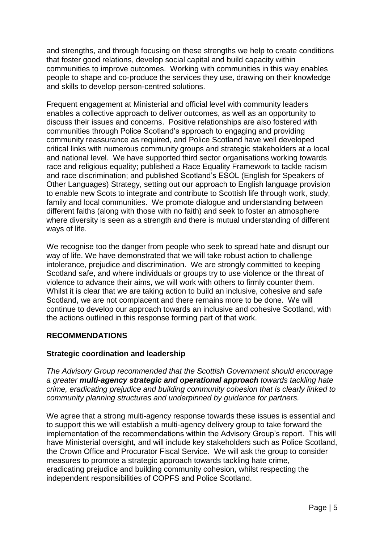and strengths, and through focusing on these strengths we help to create conditions that foster good relations, develop social capital and build capacity within communities to improve outcomes. Working with communities in this way enables people to shape and co-produce the services they use, drawing on their knowledge and skills to develop person-centred solutions.

Frequent engagement at Ministerial and official level with community leaders enables a collective approach to deliver outcomes, as well as an opportunity to discuss their issues and concerns. Positive relationships are also fostered with communities through Police Scotland's approach to engaging and providing community reassurance as required, and Police Scotland have well developed critical links with numerous community groups and strategic stakeholders at a local and national level. We have supported third sector organisations working towards race and religious equality; published a Race Equality Framework to tackle racism and race discrimination; and published Scotland's ESOL (English for Speakers of Other Languages) Strategy, setting out our approach to English language provision to enable new Scots to integrate and contribute to Scottish life through work, study, family and local communities. We promote dialogue and understanding between different faiths (along with those with no faith) and seek to foster an atmosphere where diversity is seen as a strength and there is mutual understanding of different ways of life.

We recognise too the danger from people who seek to spread hate and disrupt our way of life. We have demonstrated that we will take robust action to challenge intolerance, prejudice and discrimination. We are strongly committed to keeping Scotland safe, and where individuals or groups try to use violence or the threat of violence to advance their aims, we will work with others to firmly counter them. Whilst it is clear that we are taking action to build an inclusive, cohesive and safe Scotland, we are not complacent and there remains more to be done. We will continue to develop our approach towards an inclusive and cohesive Scotland, with the actions outlined in this response forming part of that work.

# <span id="page-5-0"></span>**RECOMMENDATIONS**

#### <span id="page-5-1"></span>**Strategic coordination and leadership**

*The Advisory Group recommended that the Scottish Government should encourage a greater multi-agency strategic and operational approach towards tackling hate crime, eradicating prejudice and building community cohesion that is clearly linked to community planning structures and underpinned by guidance for partners.* 

We agree that a strong multi-agency response towards these issues is essential and to support this we will establish a multi-agency delivery group to take forward the implementation of the recommendations within the Advisory Group's report. This will have Ministerial oversight, and will include key stakeholders such as Police Scotland, the Crown Office and Procurator Fiscal Service. We will ask the group to consider measures to promote a strategic approach towards tackling hate crime, eradicating prejudice and building community cohesion, whilst respecting the independent responsibilities of COPFS and Police Scotland.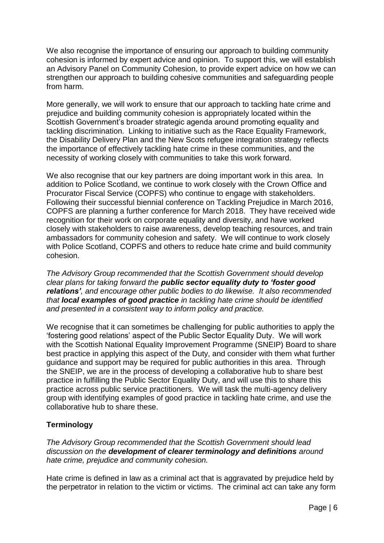We also recognise the importance of ensuring our approach to building community cohesion is informed by expert advice and opinion. To support this, we will establish an Advisory Panel on Community Cohesion, to provide expert advice on how we can strengthen our approach to building cohesive communities and safeguarding people from harm.

More generally, we will work to ensure that our approach to tackling hate crime and prejudice and building community cohesion is appropriately located within the Scottish Government's broader strategic agenda around promoting equality and tackling discrimination. Linking to initiative such as the Race Equality Framework, the Disability Delivery Plan and the New Scots refugee integration strategy reflects the importance of effectively tackling hate crime in these communities, and the necessity of working closely with communities to take this work forward.

We also recognise that our key partners are doing important work in this area. In addition to Police Scotland, we continue to work closely with the Crown Office and Procurator Fiscal Service (COPFS) who continue to engage with stakeholders. Following their successful biennial conference on Tackling Prejudice in March 2016, COPFS are planning a further conference for March 2018. They have received wide recognition for their work on corporate equality and diversity, and have worked closely with stakeholders to raise awareness, develop teaching resources, and train ambassadors for community cohesion and safety. We will continue to work closely with Police Scotland, COPFS and others to reduce hate crime and build community cohesion.

*The Advisory Group recommended that the Scottish Government should develop clear plans for taking forward the public sector equality duty to 'foster good relations', and encourage other public bodies to do likewise. It also recommended that local examples of good practice in tackling hate crime should be identified and presented in a consistent way to inform policy and practice.* 

We recognise that it can sometimes be challenging for public authorities to apply the 'fostering good relations' aspect of the Public Sector Equality Duty. We will work with the Scottish National Equality Improvement Programme (SNEIP) Board to share best practice in applying this aspect of the Duty, and consider with them what further guidance and support may be required for public authorities in this area. Through the SNEIP, we are in the process of developing a collaborative hub to share best practice in fulfilling the Public Sector Equality Duty, and will use this to share this practice across public service practitioners. We will task the multi-agency delivery group with identifying examples of good practice in tackling hate crime, and use the collaborative hub to share these.

# <span id="page-6-0"></span>**Terminology**

*The Advisory Group recommended that the Scottish Government should lead discussion on the development of clearer terminology and definitions around hate crime, prejudice and community cohesion.* 

Hate crime is defined in law as a criminal act that is aggravated by prejudice held by the perpetrator in relation to the victim or victims. The criminal act can take any form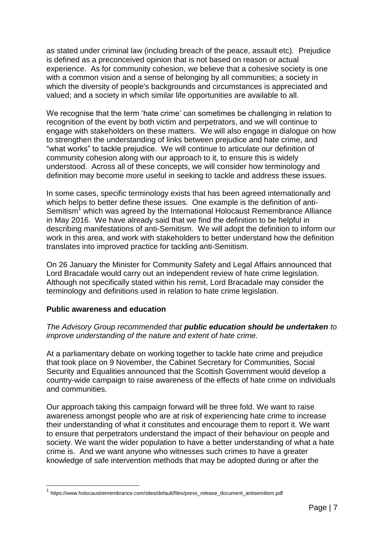as stated under criminal law (including breach of the peace, assault etc). Prejudice is defined as a preconceived opinion that is not based on reason or actual experience. As for community cohesion, we believe that a cohesive society is one with a common vision and a sense of belonging by all communities; a society in which the diversity of people's backgrounds and circumstances is appreciated and valued; and a society in which similar life opportunities are available to all.

We recognise that the term 'hate crime' can sometimes be challenging in relation to recognition of the event by both victim and perpetrators, and we will continue to engage with stakeholders on these matters. We will also engage in dialogue on how to strengthen the understanding of links between prejudice and hate crime, and "what works" to tackle prejudice. We will continue to articulate our definition of community cohesion along with our approach to it, to ensure this is widely understood. Across all of these concepts, we will consider how terminology and definition may become more useful in seeking to tackle and address these issues.

In some cases, specific terminology exists that has been agreed internationally and which helps to better define these issues. One example is the definition of anti-Semitism<sup>1</sup> which was agreed by the International Holocaust Remembrance Alliance in May 2016. We have already said that we find the definition to be helpful in describing manifestations of anti-Semitism. We will adopt the definition to inform our work in this area, and work with stakeholders to better understand how the definition translates into improved practice for tackling anti-Semitism.

On 26 January the Minister for Community Safety and Legal Affairs announced that Lord Bracadale would carry out an independent review of hate crime legislation. Although not specifically stated within his remit, Lord Bracadale may consider the terminology and definitions used in relation to hate crime legislation.

#### <span id="page-7-0"></span>**Public awareness and education**

1

#### *The Advisory Group recommended that public education should be undertaken to improve understanding of the nature and extent of hate crime.*

At a parliamentary debate on working together to tackle hate crime and prejudice that took place on 9 November, the Cabinet Secretary for Communities, Social Security and Equalities announced that the Scottish Government would develop a country-wide campaign to raise awareness of the effects of hate crime on individuals and communities.

Our approach taking this campaign forward will be three fold. We want to raise awareness amongst people who are at risk of experiencing hate crime to increase their understanding of what it constitutes and encourage them to report it. We want to ensure that perpetrators understand the impact of their behaviour on people and society. We want the wider population to have a better understanding of what a hate crime is. And we want anyone who witnesses such crimes to have a greater knowledge of safe intervention methods that may be adopted during or after the

<sup>&</sup>lt;sup>1</sup> https://www.holocaustremembrance.com/sites/default/files/press\_release\_document\_antisemitism.pdf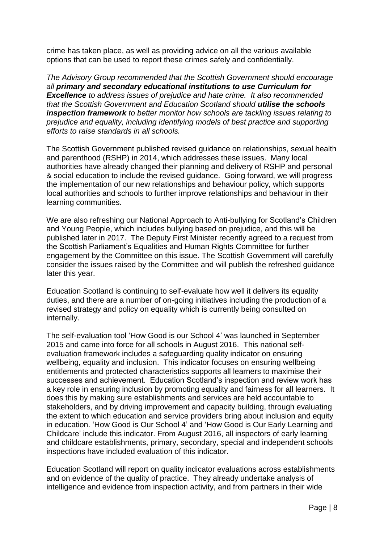crime has taken place, as well as providing advice on all the various available options that can be used to report these crimes safely and confidentially.

*The Advisory Group recommended that the Scottish Government should encourage all primary and secondary educational institutions to use Curriculum for Excellence to address issues of prejudice and hate crime. It also recommended that the Scottish Government and Education Scotland should utilise the schools inspection framework to better monitor how schools are tackling issues relating to prejudice and equality, including identifying models of best practice and supporting efforts to raise standards in all schools.* 

The Scottish Government published revised guidance on relationships, sexual health and parenthood (RSHP) in 2014, which addresses these issues. Many local authorities have already changed their planning and delivery of RSHP and personal & social education to include the revised guidance. Going forward, we will progress the implementation of our new relationships and behaviour policy, which supports local authorities and schools to further improve relationships and behaviour in their learning communities.

We are also refreshing our National Approach to Anti-bullying for Scotland's Children and Young People, which includes bullying based on prejudice, and this will be published later in 2017. The Deputy First Minister recently agreed to a request from the Scottish Parliament's Equalities and Human Rights Committee for further engagement by the Committee on this issue. The Scottish Government will carefully consider the issues raised by the Committee and will publish the refreshed guidance later this year.

Education Scotland is continuing to self-evaluate how well it delivers its equality duties, and there are a number of on-going initiatives including the production of a revised strategy and policy on equality which is currently being consulted on internally.

The self-evaluation tool 'How Good is our School 4' was launched in September 2015 and came into force for all schools in August 2016. This national selfevaluation framework includes a safeguarding quality indicator on ensuring wellbeing, equality and inclusion. This indicator focuses on ensuring wellbeing entitlements and protected characteristics supports all learners to maximise their successes and achievement. Education Scotland's inspection and review work has a key role in ensuring inclusion by promoting equality and fairness for all learners. It does this by making sure establishments and services are held accountable to stakeholders, and by driving improvement and capacity building, through evaluating the extent to which education and service providers bring about inclusion and equity in education. 'How Good is Our School 4' and 'How Good is Our Early Learning and Childcare' include this indicator. From August 2016, all inspectors of early learning and childcare establishments, primary, secondary, special and independent schools inspections have included evaluation of this indicator.

Education Scotland will report on quality indicator evaluations across establishments and on evidence of the quality of practice. They already undertake analysis of intelligence and evidence from inspection activity, and from partners in their wide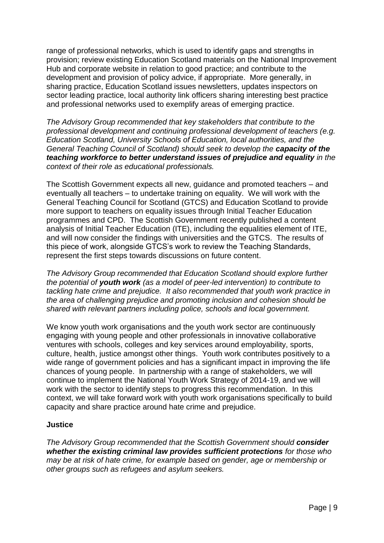range of professional networks, which is used to identify gaps and strengths in provision; review existing Education Scotland materials on the National Improvement Hub and corporate website in relation to good practice; and contribute to the development and provision of policy advice, if appropriate. More generally, in sharing practice, Education Scotland issues newsletters, updates inspectors on sector leading practice, local authority link officers sharing interesting best practice and professional networks used to exemplify areas of emerging practice.

*The Advisory Group recommended that key stakeholders that contribute to the professional development and continuing professional development of teachers (e.g. Education Scotland, University Schools of Education, local authorities, and the General Teaching Council of Scotland) should seek to develop the capacity of the teaching workforce to better understand issues of prejudice and equality in the context of their role as educational professionals.* 

The Scottish Government expects all new, guidance and promoted teachers – and eventually all teachers – to undertake training on equality. We will work with the General Teaching Council for Scotland (GTCS) and Education Scotland to provide more support to teachers on equality issues through Initial Teacher Education programmes and CPD. The Scottish Government recently published a content analysis of Initial Teacher Education (ITE), including the equalities element of ITE, and will now consider the findings with universities and the GTCS. The results of this piece of work, alongside GTCS's work to review the Teaching Standards, represent the first steps towards discussions on future content.

*The Advisory Group recommended that Education Scotland should explore further the potential of youth work (as a model of peer-led intervention) to contribute to tackling hate crime and prejudice. It also recommended that youth work practice in the area of challenging prejudice and promoting inclusion and cohesion should be shared with relevant partners including police, schools and local government.* 

We know youth work organisations and the youth work sector are continuously engaging with young people and other professionals in innovative collaborative ventures with schools, colleges and key services around employability, sports, culture, health, justice amongst other things. Youth work contributes positively to a wide range of government policies and has a significant impact in improving the life chances of young people. In partnership with a range of stakeholders, we will continue to implement the National Youth Work Strategy of 2014-19, and we will work with the sector to identify steps to progress this recommendation. In this context, we will take forward work with youth work organisations specifically to build capacity and share practice around hate crime and prejudice.

# <span id="page-9-0"></span>**Justice**

*The Advisory Group recommended that the Scottish Government should consider whether the existing criminal law provides sufficient protections for those who may be at risk of hate crime, for example based on gender, age or membership or other groups such as refugees and asylum seekers.*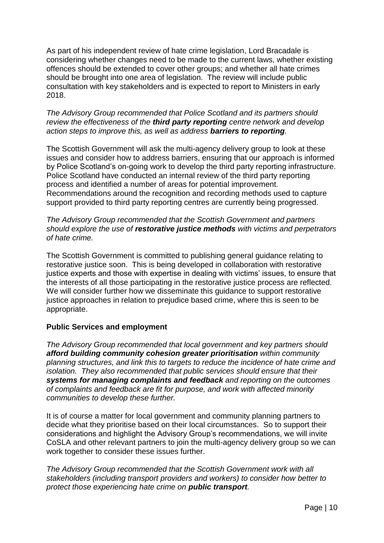As part of his independent review of hate crime legislation, Lord Bracadale is considering whether changes need to be made to the current laws, whether existing offences should be extended to cover other groups; and whether all hate crimes should be brought into one area of legislation. The review will include public consultation with key stakeholders and is expected to report to Ministers in early 2018.

*The Advisory Group recommended that Police Scotland and its partners should review the effectiveness of the third party reporting centre network and develop action steps to improve this, as well as address barriers to reporting.* 

The Scottish Government will ask the multi-agency delivery group to look at these issues and consider how to address barriers, ensuring that our approach is informed by Police Scotland's on-going work to develop the third party reporting infrastructure. Police Scotland have conducted an internal review of the third party reporting process and identified a number of areas for potential improvement. Recommendations around the recognition and recording methods used to capture support provided to third party reporting centres are currently being progressed.

*The Advisory Group recommended that the Scottish Government and partners should explore the use of restorative justice methods with victims and perpetrators of hate crime.* 

The Scottish Government is committed to publishing general guidance relating to restorative justice soon. This is being developed in collaboration with restorative justice experts and those with expertise in dealing with victims' issues, to ensure that the interests of all those participating in the restorative justice process are reflected. We will consider further how we disseminate this guidance to support restorative justice approaches in relation to prejudice based crime, where this is seen to be appropriate.

#### <span id="page-10-0"></span>**Public Services and employment**

*The Advisory Group recommended that local government and key partners should afford building community cohesion greater prioritisation within community planning structures, and link this to targets to reduce the incidence of hate crime and isolation.* They also recommended that public services should ensure that their *systems for managing complaints and feedback and reporting on the outcomes of complaints and feedback are fit for purpose, and work with affected minority communities to develop these further.* 

It is of course a matter for local government and community planning partners to decide what they prioritise based on their local circumstances. So to support their considerations and highlight the Advisory Group's recommendations, we will invite CoSLA and other relevant partners to join the multi-agency delivery group so we can work together to consider these issues further.

*The Advisory Group recommended that the Scottish Government work with all stakeholders (including transport providers and workers) to consider how better to protect those experiencing hate crime on public transport.*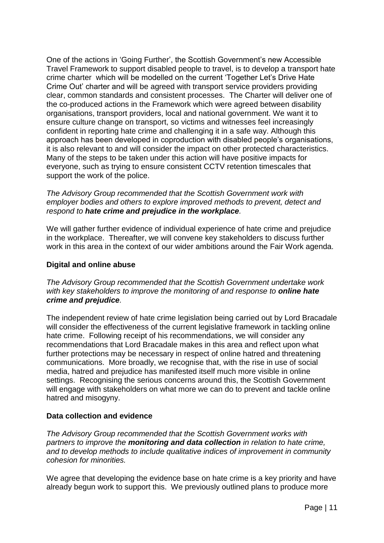One of the actions in 'Going Further', the Scottish Government's new Accessible Travel Framework to support disabled people to travel, is to develop a transport hate crime charter which will be modelled on the current 'Together Let's Drive Hate Crime Out' charter and will be agreed with transport service providers providing clear, common standards and consistent processes. The Charter will deliver one of the co-produced actions in the Framework which were agreed between disability organisations, transport providers, local and national government. We want it to ensure culture change on transport, so victims and witnesses feel increasingly confident in reporting hate crime and challenging it in a safe way. Although this approach has been developed in coproduction with disabled people's organisations, it is also relevant to and will consider the impact on other protected characteristics. Many of the steps to be taken under this action will have positive impacts for everyone, such as trying to ensure consistent CCTV retention timescales that support the work of the police.

*The Advisory Group recommended that the Scottish Government work with employer bodies and others to explore improved methods to prevent, detect and respond to hate crime and prejudice in the workplace.* 

We will gather further evidence of individual experience of hate crime and prejudice in the workplace. Thereafter, we will convene key stakeholders to discuss further work in this area in the context of our wider ambitions around the Fair Work agenda.

#### <span id="page-11-0"></span>**Digital and online abuse**

*The Advisory Group recommended that the Scottish Government undertake work with key stakeholders to improve the monitoring of and response to online hate crime and prejudice.* 

The independent review of hate crime legislation being carried out by Lord Bracadale will consider the effectiveness of the current legislative framework in tackling online hate crime. Following receipt of his recommendations, we will consider any recommendations that Lord Bracadale makes in this area and reflect upon what further protections may be necessary in respect of online hatred and threatening communications. More broadly, we recognise that, with the rise in use of social media, hatred and prejudice has manifested itself much more visible in online settings. Recognising the serious concerns around this, the Scottish Government will engage with stakeholders on what more we can do to prevent and tackle online hatred and misogyny.

#### <span id="page-11-1"></span>**Data collection and evidence**

*The Advisory Group recommended that the Scottish Government works with partners to improve the monitoring and data collection in relation to hate crime, and to develop methods to include qualitative indices of improvement in community cohesion for minorities.* 

We agree that developing the evidence base on hate crime is a key priority and have already begun work to support this. We previously outlined plans to produce more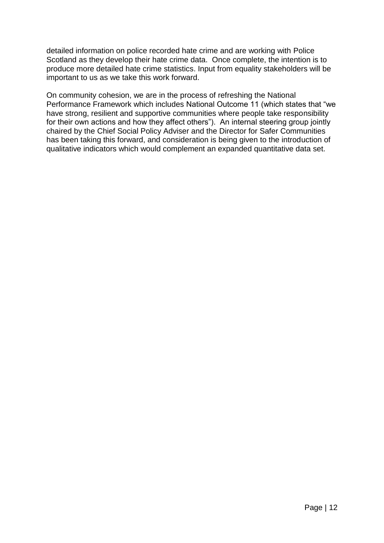detailed information on police recorded hate crime and are working with Police Scotland as they develop their hate crime data. Once complete, the intention is to produce more detailed hate crime statistics. Input from equality stakeholders will be important to us as we take this work forward.

On community cohesion, we are in the process of refreshing the National Performance Framework which includes National Outcome 11 (which states that "we have strong, resilient and supportive communities where people take responsibility for their own actions and how they affect others"). An internal steering group jointly chaired by the Chief Social Policy Adviser and the Director for Safer Communities has been taking this forward, and consideration is being given to the introduction of qualitative indicators which would complement an expanded quantitative data set.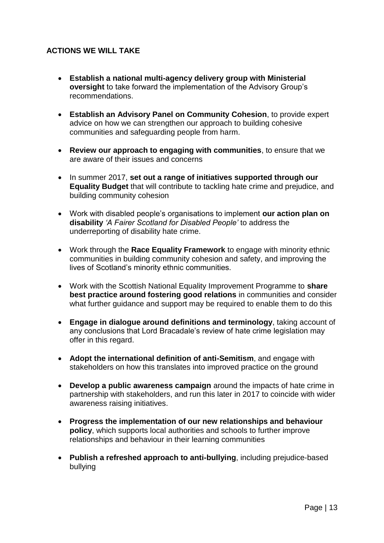# <span id="page-13-0"></span>**ACTIONS WE WILL TAKE**

- **Establish a national multi-agency delivery group with Ministerial oversight** to take forward the implementation of the Advisory Group's recommendations.
- **Establish an Advisory Panel on Community Cohesion**, to provide expert advice on how we can strengthen our approach to building cohesive communities and safeguarding people from harm.
- **Review our approach to engaging with communities**, to ensure that we are aware of their issues and concerns
- In summer 2017, **set out a range of initiatives supported through our Equality Budget** that will contribute to tackling hate crime and prejudice, and building community cohesion
- Work with disabled people's organisations to implement **our action plan on disability** *'A Fairer Scotland for Disabled People'* to address the underreporting of disability hate crime.
- Work through the **Race Equality Framework** to engage with minority ethnic communities in building community cohesion and safety, and improving the lives of Scotland's minority ethnic communities.
- Work with the Scottish National Equality Improvement Programme to **share best practice around fostering good relations** in communities and consider what further guidance and support may be required to enable them to do this
- **Engage in dialogue around definitions and terminology**, taking account of any conclusions that Lord Bracadale's review of hate crime legislation may offer in this regard.
- **Adopt the international definition of anti-Semitism**, and engage with stakeholders on how this translates into improved practice on the ground
- **Develop a public awareness campaign** around the impacts of hate crime in partnership with stakeholders, and run this later in 2017 to coincide with wider awareness raising initiatives.
- **Progress the implementation of our new relationships and behaviour policy**, which supports local authorities and schools to further improve relationships and behaviour in their learning communities
- **Publish a refreshed approach to anti-bullying**, including prejudice-based bullying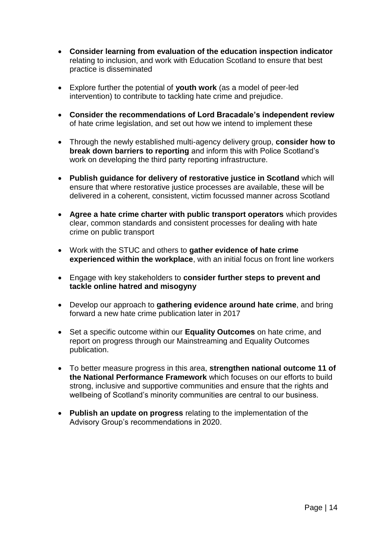- **Consider learning from evaluation of the education inspection indicator** relating to inclusion, and work with Education Scotland to ensure that best practice is disseminated
- Explore further the potential of **youth work** (as a model of peer-led intervention) to contribute to tackling hate crime and prejudice.
- **Consider the recommendations of Lord Bracadale's independent review** of hate crime legislation, and set out how we intend to implement these
- Through the newly established multi-agency delivery group, **consider how to break down barriers to reporting** and inform this with Police Scotland's work on developing the third party reporting infrastructure.
- **Publish guidance for delivery of restorative justice in Scotland** which will ensure that where restorative justice processes are available, these will be delivered in a coherent, consistent, victim focussed manner across Scotland
- **Agree a hate crime charter with public transport operators** which provides clear, common standards and consistent processes for dealing with hate crime on public transport
- Work with the STUC and others to **gather evidence of hate crime experienced within the workplace**, with an initial focus on front line workers
- Engage with key stakeholders to **consider further steps to prevent and tackle online hatred and misogyny**
- Develop our approach to **gathering evidence around hate crime**, and bring forward a new hate crime publication later in 2017
- Set a specific outcome within our **Equality Outcomes** on hate crime, and report on progress through our Mainstreaming and Equality Outcomes publication.
- To better measure progress in this area, **strengthen national outcome 11 of the National Performance Framework** which focuses on our efforts to build strong, inclusive and supportive communities and ensure that the rights and wellbeing of Scotland's minority communities are central to our business.
- **Publish an update on progress** relating to the implementation of the Advisory Group's recommendations in 2020.